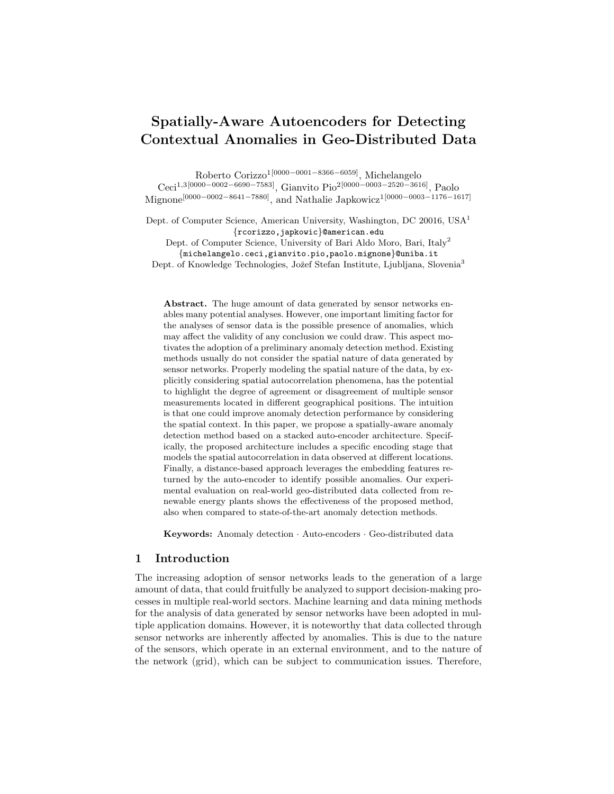# Spatially-Aware Autoencoders for Detecting Contextual Anomalies in Geo-Distributed Data

Roberto Corizzo1[0000−0001−8366−6059], Michelangelo

Ceci1,3[0000−0002−6690−7583], Gianvito Pio2[0000−0003−2520−3616], Paolo Mignone<sup>[0000–0002–8641–7880]</sup>, and Nathalie Japkowicz<sup>1</sup><sup>[0000–0003–1176–1617]</sup>

Dept. of Computer Science, American University, Washington, DC 20016,  ${{\rm USA}^1}$ {rcorizzo,japkowic}@american.edu

Dept. of Computer Science, University of Bari Aldo Moro, Bari, Italy<sup>2</sup> {michelangelo.ceci,gianvito.pio,paolo.mignone}@uniba.it Dept. of Knowledge Technologies, Jožef Stefan Institute, Ljubljana, Slovenia<sup>3</sup>

Abstract. The huge amount of data generated by sensor networks enables many potential analyses. However, one important limiting factor for the analyses of sensor data is the possible presence of anomalies, which may affect the validity of any conclusion we could draw. This aspect motivates the adoption of a preliminary anomaly detection method. Existing methods usually do not consider the spatial nature of data generated by sensor networks. Properly modeling the spatial nature of the data, by explicitly considering spatial autocorrelation phenomena, has the potential to highlight the degree of agreement or disagreement of multiple sensor measurements located in different geographical positions. The intuition is that one could improve anomaly detection performance by considering the spatial context. In this paper, we propose a spatially-aware anomaly detection method based on a stacked auto-encoder architecture. Specifically, the proposed architecture includes a specific encoding stage that models the spatial autocorrelation in data observed at different locations. Finally, a distance-based approach leverages the embedding features returned by the auto-encoder to identify possible anomalies. Our experimental evaluation on real-world geo-distributed data collected from renewable energy plants shows the effectiveness of the proposed method, also when compared to state-of-the-art anomaly detection methods.

Keywords: Anomaly detection · Auto-encoders · Geo-distributed data

## 1 Introduction

The increasing adoption of sensor networks leads to the generation of a large amount of data, that could fruitfully be analyzed to support decision-making processes in multiple real-world sectors. Machine learning and data mining methods for the analysis of data generated by sensor networks have been adopted in multiple application domains. However, it is noteworthy that data collected through sensor networks are inherently affected by anomalies. This is due to the nature of the sensors, which operate in an external environment, and to the nature of the network (grid), which can be subject to communication issues. Therefore,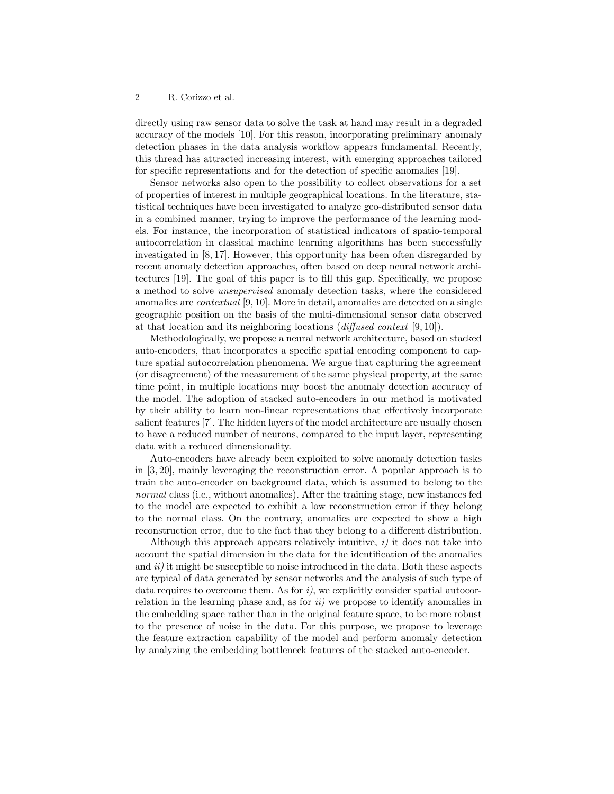directly using raw sensor data to solve the task at hand may result in a degraded accuracy of the models [10]. For this reason, incorporating preliminary anomaly detection phases in the data analysis workflow appears fundamental. Recently, this thread has attracted increasing interest, with emerging approaches tailored for specific representations and for the detection of specific anomalies [19].

Sensor networks also open to the possibility to collect observations for a set of properties of interest in multiple geographical locations. In the literature, statistical techniques have been investigated to analyze geo-distributed sensor data in a combined manner, trying to improve the performance of the learning models. For instance, the incorporation of statistical indicators of spatio-temporal autocorrelation in classical machine learning algorithms has been successfully investigated in [8, 17]. However, this opportunity has been often disregarded by recent anomaly detection approaches, often based on deep neural network architectures [19]. The goal of this paper is to fill this gap. Specifically, we propose a method to solve unsupervised anomaly detection tasks, where the considered anomalies are contextual [9, 10]. More in detail, anomalies are detected on a single geographic position on the basis of the multi-dimensional sensor data observed at that location and its neighboring locations (diffused context [9, 10]).

Methodologically, we propose a neural network architecture, based on stacked auto-encoders, that incorporates a specific spatial encoding component to capture spatial autocorrelation phenomena. We argue that capturing the agreement (or disagreement) of the measurement of the same physical property, at the same time point, in multiple locations may boost the anomaly detection accuracy of the model. The adoption of stacked auto-encoders in our method is motivated by their ability to learn non-linear representations that effectively incorporate salient features [7]. The hidden layers of the model architecture are usually chosen to have a reduced number of neurons, compared to the input layer, representing data with a reduced dimensionality.

Auto-encoders have already been exploited to solve anomaly detection tasks in [3, 20], mainly leveraging the reconstruction error. A popular approach is to train the auto-encoder on background data, which is assumed to belong to the normal class (i.e., without anomalies). After the training stage, new instances fed to the model are expected to exhibit a low reconstruction error if they belong to the normal class. On the contrary, anomalies are expected to show a high reconstruction error, due to the fact that they belong to a different distribution.

Although this approach appears relatively intuitive,  $i$ ) it does not take into account the spatial dimension in the data for the identification of the anomalies and  $ii$ ) it might be susceptible to noise introduced in the data. Both these aspects are typical of data generated by sensor networks and the analysis of such type of data requires to overcome them. As for  $i$ , we explicitly consider spatial autocorrelation in the learning phase and, as for  $ii$ ) we propose to identify anomalies in the embedding space rather than in the original feature space, to be more robust to the presence of noise in the data. For this purpose, we propose to leverage the feature extraction capability of the model and perform anomaly detection by analyzing the embedding bottleneck features of the stacked auto-encoder.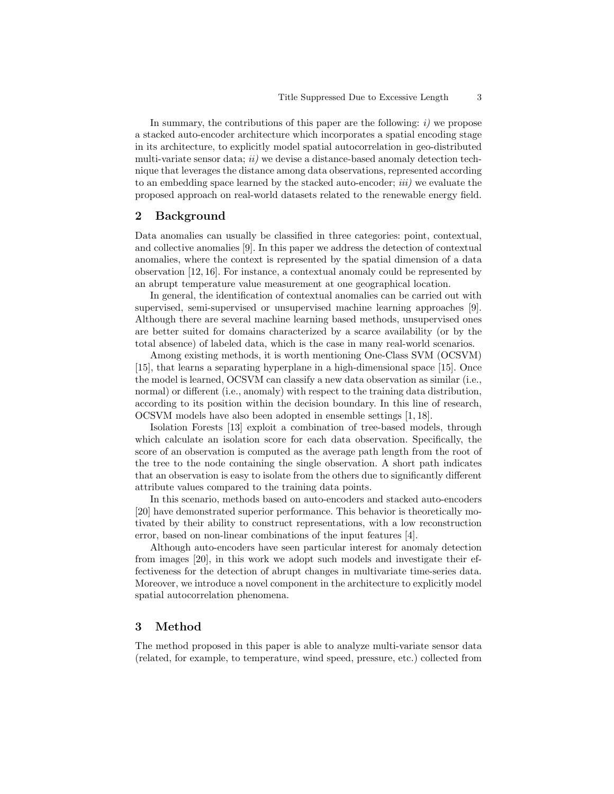In summary, the contributions of this paper are the following:  $i$ ) we propose a stacked auto-encoder architecture which incorporates a spatial encoding stage in its architecture, to explicitly model spatial autocorrelation in geo-distributed multi-variate sensor data;  $ii)$  we devise a distance-based anomaly detection technique that leverages the distance among data observations, represented according to an embedding space learned by the stacked auto-encoder;  $iii)$  we evaluate the proposed approach on real-world datasets related to the renewable energy field.

# 2 Background

Data anomalies can usually be classified in three categories: point, contextual, and collective anomalies [9]. In this paper we address the detection of contextual anomalies, where the context is represented by the spatial dimension of a data observation [12, 16]. For instance, a contextual anomaly could be represented by an abrupt temperature value measurement at one geographical location.

In general, the identification of contextual anomalies can be carried out with supervised, semi-supervised or unsupervised machine learning approaches [9]. Although there are several machine learning based methods, unsupervised ones are better suited for domains characterized by a scarce availability (or by the total absence) of labeled data, which is the case in many real-world scenarios.

Among existing methods, it is worth mentioning One-Class SVM (OCSVM) [15], that learns a separating hyperplane in a high-dimensional space [15]. Once the model is learned, OCSVM can classify a new data observation as similar (i.e., normal) or different (i.e., anomaly) with respect to the training data distribution, according to its position within the decision boundary. In this line of research, OCSVM models have also been adopted in ensemble settings [1, 18].

Isolation Forests [13] exploit a combination of tree-based models, through which calculate an isolation score for each data observation. Specifically, the score of an observation is computed as the average path length from the root of the tree to the node containing the single observation. A short path indicates that an observation is easy to isolate from the others due to significantly different attribute values compared to the training data points.

In this scenario, methods based on auto-encoders and stacked auto-encoders [20] have demonstrated superior performance. This behavior is theoretically motivated by their ability to construct representations, with a low reconstruction error, based on non-linear combinations of the input features [4].

Although auto-encoders have seen particular interest for anomaly detection from images [20], in this work we adopt such models and investigate their effectiveness for the detection of abrupt changes in multivariate time-series data. Moreover, we introduce a novel component in the architecture to explicitly model spatial autocorrelation phenomena.

# 3 Method

The method proposed in this paper is able to analyze multi-variate sensor data (related, for example, to temperature, wind speed, pressure, etc.) collected from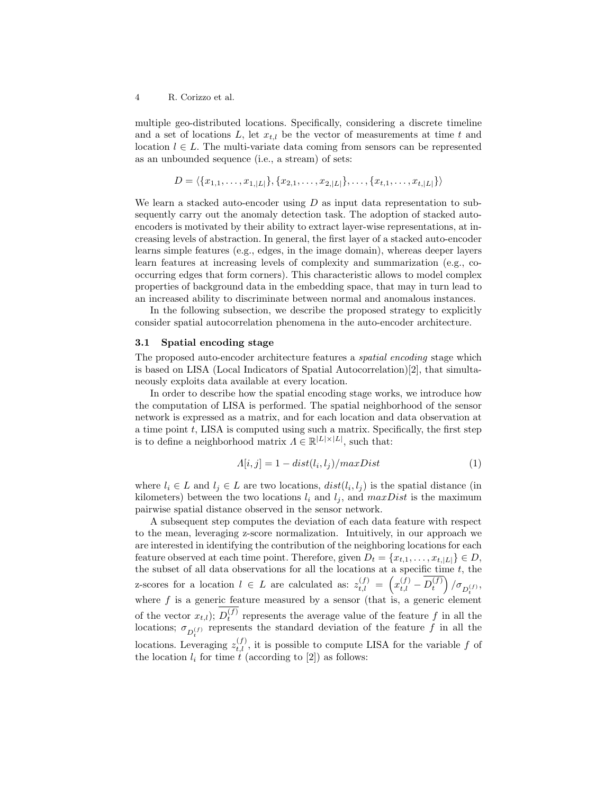multiple geo-distributed locations. Specifically, considering a discrete timeline and a set of locations L, let  $x_{t,l}$  be the vector of measurements at time t and location  $l \in L$ . The multi-variate data coming from sensors can be represented as an unbounded sequence (i.e., a stream) of sets:

$$
D = \langle \{x_{1,1}, \ldots, x_{1,|L|}\}, \{x_{2,1}, \ldots, x_{2,|L|}\}, \ldots, \{x_{t,1}, \ldots, x_{t,|L|}\}\rangle
$$

We learn a stacked auto-encoder using  $D$  as input data representation to subsequently carry out the anomaly detection task. The adoption of stacked autoencoders is motivated by their ability to extract layer-wise representations, at increasing levels of abstraction. In general, the first layer of a stacked auto-encoder learns simple features (e.g., edges, in the image domain), whereas deeper layers learn features at increasing levels of complexity and summarization (e.g., cooccurring edges that form corners). This characteristic allows to model complex properties of background data in the embedding space, that may in turn lead to an increased ability to discriminate between normal and anomalous instances.

In the following subsection, we describe the proposed strategy to explicitly consider spatial autocorrelation phenomena in the auto-encoder architecture.

#### 3.1 Spatial encoding stage

The proposed auto-encoder architecture features a spatial encoding stage which is based on LISA (Local Indicators of Spatial Autocorrelation)[2], that simultaneously exploits data available at every location.

In order to describe how the spatial encoding stage works, we introduce how the computation of LISA is performed. The spatial neighborhood of the sensor network is expressed as a matrix, and for each location and data observation at a time point  $t$ , LISA is computed using such a matrix. Specifically, the first step is to define a neighborhood matrix  $A \in \mathbb{R}^{|L| \times |L|}$ , such that:

$$
A[i,j] = 1 - dist(l_i, l_j) / maxDist
$$
\n<sup>(1)</sup>

where  $l_i \in L$  and  $l_j \in L$  are two locations,  $dist(l_i, l_j)$  is the spatial distance (in kilometers) between the two locations  $l_i$  and  $l_j$ , and  $maxDist$  is the maximum pairwise spatial distance observed in the sensor network.

A subsequent step computes the deviation of each data feature with respect to the mean, leveraging z-score normalization. Intuitively, in our approach we are interested in identifying the contribution of the neighboring locations for each feature observed at each time point. Therefore, given  $D_t = \{x_{t,1}, \ldots, x_{t,|L|}\} \in D$ , the subset of all data observations for all the locations at a specific time  $t$ , the z-scores for a location  $l \in L$  are calculated as:  $z_{t,l}^{(f)} = \left(x_{t,l}^{(f)} - \overline{D_t^{(f)}}\right) / \sigma_{D_t^{(f)}},$ where  $f$  is a generic feature measured by a sensor (that is, a generic element of the vector  $x_{t,l}$ );  $D_t^{(f)}$  represents the average value of the feature f in all the locations;  $\sigma_{D_t^{(f)}}$  represents the standard deviation of the feature f in all the locations. Leveraging  $z_{t,l}^{(f)}$ , it is possible to compute LISA for the variable f of the location  $l_i$  for time t (according to [2]) as follows: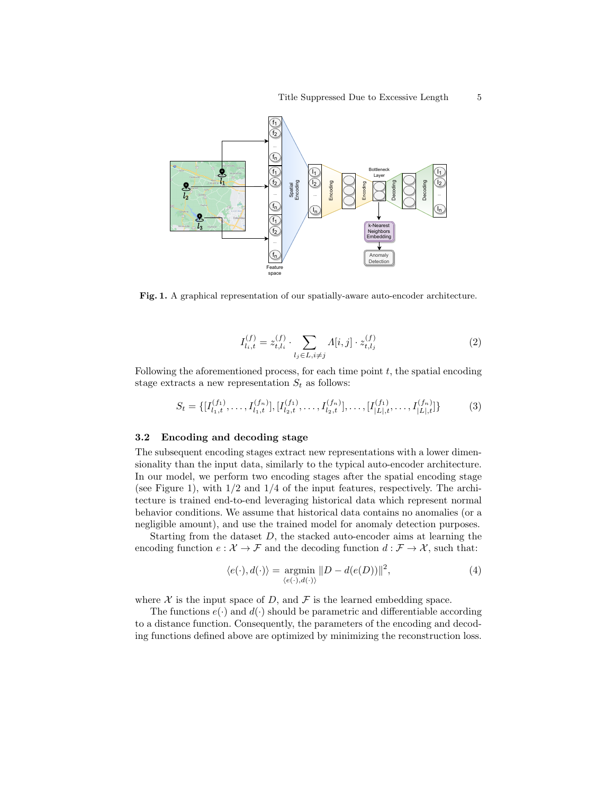

Fig. 1. A graphical representation of our spatially-aware auto-encoder architecture.

$$
I_{l_i,t}^{(f)} = z_{t,l_i}^{(f)} \cdot \sum_{l_j \in L, i \neq j} A[i,j] \cdot z_{t,l_j}^{(f)} \tag{2}
$$

Following the aforementioned process, for each time point  $t$ , the spatial encoding stage extracts a new representation  $S_t$  as follows:

$$
S_t = \{ [I_{l_1,t}^{(f_1)}, \dots, I_{l_1,t}^{(f_n)}], [I_{l_2,t}^{(f_1)}, \dots, I_{l_2,t}^{(f_n)}], \dots, [I_{|L|,t}^{(f_1)}, \dots, I_{|L|,t}^{(f_n)}] \}
$$
(3)

## 3.2 Encoding and decoding stage

The subsequent encoding stages extract new representations with a lower dimensionality than the input data, similarly to the typical auto-encoder architecture. In our model, we perform two encoding stages after the spatial encoding stage (see Figure 1), with  $1/2$  and  $1/4$  of the input features, respectively. The architecture is trained end-to-end leveraging historical data which represent normal behavior conditions. We assume that historical data contains no anomalies (or a negligible amount), and use the trained model for anomaly detection purposes.

Starting from the dataset  $D$ , the stacked auto-encoder aims at learning the encoding function  $e: \mathcal{X} \to \mathcal{F}$  and the decoding function  $d: \mathcal{F} \to \mathcal{X}$ , such that:

$$
\langle e(\cdot), d(\cdot) \rangle = \underset{\langle e(\cdot), d(\cdot) \rangle}{\operatorname{argmin}} ||D - d(e(D))||^2,
$$
\n(4)

where  $X$  is the input space of D, and  $\mathcal F$  is the learned embedding space.

The functions  $e(\cdot)$  and  $d(\cdot)$  should be parametric and differentiable according to a distance function. Consequently, the parameters of the encoding and decoding functions defined above are optimized by minimizing the reconstruction loss.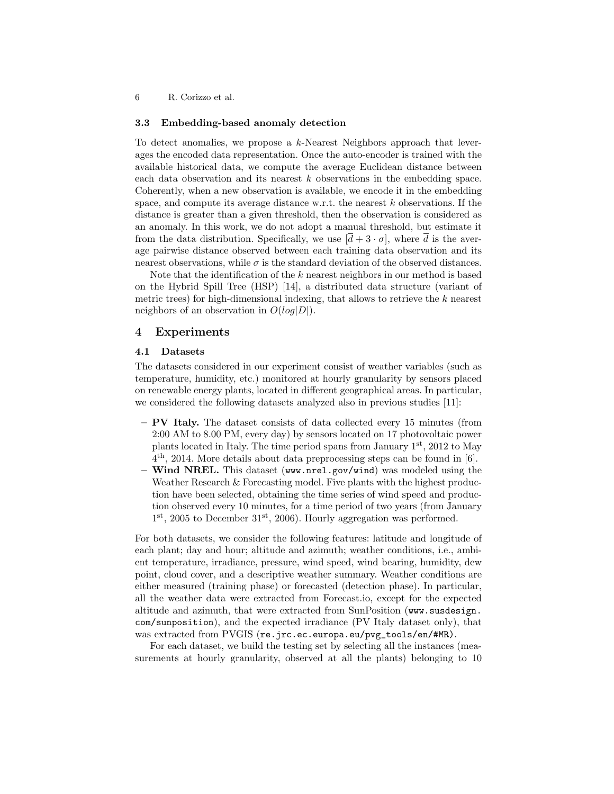#### 3.3 Embedding-based anomaly detection

To detect anomalies, we propose a  $k$ -Nearest Neighbors approach that leverages the encoded data representation. Once the auto-encoder is trained with the available historical data, we compute the average Euclidean distance between each data observation and its nearest k observations in the embedding space. Coherently, when a new observation is available, we encode it in the embedding space, and compute its average distance w.r.t. the nearest  $k$  observations. If the distance is greater than a given threshold, then the observation is considered as an anomaly. In this work, we do not adopt a manual threshold, but estimate it from the data distribution. Specifically, we use  $[\bar{d} + 3 \cdot \sigma]$ , where  $\bar{d}$  is the average pairwise distance observed between each training data observation and its nearest observations, while  $\sigma$  is the standard deviation of the observed distances.

Note that the identification of the k nearest neighbors in our method is based on the Hybrid Spill Tree (HSP) [14], a distributed data structure (variant of metric trees) for high-dimensional indexing, that allows to retrieve the k nearest neighbors of an observation in  $O(log|D|)$ .

#### 4 Experiments

## 4.1 Datasets

The datasets considered in our experiment consist of weather variables (such as temperature, humidity, etc.) monitored at hourly granularity by sensors placed on renewable energy plants, located in different geographical areas. In particular, we considered the following datasets analyzed also in previous studies [11]:

- PV Italy. The dataset consists of data collected every 15 minutes (from 2:00 AM to 8.00 PM, every day) by sensors located on 17 photovoltaic power plants located in Italy. The time period spans from January 1st, 2012 to May 4 th, 2014. More details about data preprocessing steps can be found in [6].
- Wind NREL. This dataset (www.nrel.gov/wind) was modeled using the Weather Research & Forecasting model. Five plants with the highest production have been selected, obtaining the time series of wind speed and production observed every 10 minutes, for a time period of two years (from January 1<sup>st</sup>, 2005 to December 31<sup>st</sup>, 2006). Hourly aggregation was performed.

For both datasets, we consider the following features: latitude and longitude of each plant; day and hour; altitude and azimuth; weather conditions, i.e., ambient temperature, irradiance, pressure, wind speed, wind bearing, humidity, dew point, cloud cover, and a descriptive weather summary. Weather conditions are either measured (training phase) or forecasted (detection phase). In particular, all the weather data were extracted from Forecast.io, except for the expected altitude and azimuth, that were extracted from SunPosition (www.susdesign. com/sunposition), and the expected irradiance (PV Italy dataset only), that was extracted from PVGIS (re.jrc.ec.europa.eu/pvg\_tools/en/#MR).

For each dataset, we build the testing set by selecting all the instances (measurements at hourly granularity, observed at all the plants) belonging to 10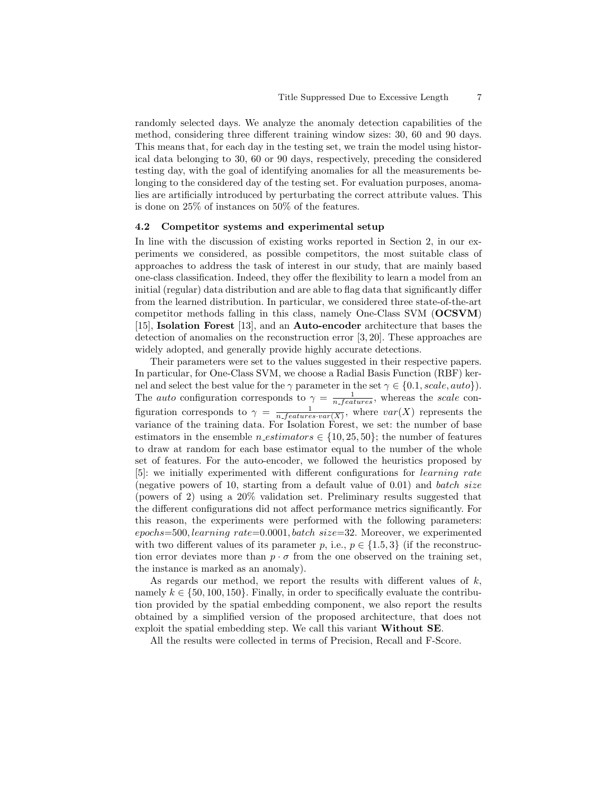randomly selected days. We analyze the anomaly detection capabilities of the method, considering three different training window sizes: 30, 60 and 90 days. This means that, for each day in the testing set, we train the model using historical data belonging to 30, 60 or 90 days, respectively, preceding the considered testing day, with the goal of identifying anomalies for all the measurements belonging to the considered day of the testing set. For evaluation purposes, anomalies are artificially introduced by perturbating the correct attribute values. This is done on 25% of instances on 50% of the features.

#### 4.2 Competitor systems and experimental setup

In line with the discussion of existing works reported in Section 2, in our experiments we considered, as possible competitors, the most suitable class of approaches to address the task of interest in our study, that are mainly based one-class classification. Indeed, they offer the flexibility to learn a model from an initial (regular) data distribution and are able to flag data that significantly differ from the learned distribution. In particular, we considered three state-of-the-art competitor methods falling in this class, namely One-Class SVM (OCSVM) [15], Isolation Forest [13], and an Auto-encoder architecture that bases the detection of anomalies on the reconstruction error [3, 20]. These approaches are widely adopted, and generally provide highly accurate detections.

Their parameters were set to the values suggested in their respective papers. In particular, for One-Class SVM, we choose a Radial Basis Function (RBF) kernel and select the best value for the  $\gamma$  parameter in the set  $\gamma \in \{0.1, scale, auto\}$ . The *auto* configuration corresponds to  $\gamma = \frac{1}{n_f}$  whereas the *scale* configuration corresponds to  $\gamma = \frac{1}{n_f}$  where  $var(X)$  represents the variance of the training data. For Isolation Forest, we set: the number of base estimators in the ensemble  $n\_estimators \in \{10, 25, 50\}$ ; the number of features to draw at random for each base estimator equal to the number of the whole set of features. For the auto-encoder, we followed the heuristics proposed by [5]: we initially experimented with different configurations for learning rate (negative powers of 10, starting from a default value of 0.01) and batch size (powers of 2) using a 20% validation set. Preliminary results suggested that the different configurations did not affect performance metrics significantly. For this reason, the experiments were performed with the following parameters:  $epochs=500, learning\ rate=0.0001, batch\ size=32. Moreover, we experimental$ with two different values of its parameter p, i.e.,  $p \in \{1.5, 3\}$  (if the reconstruction error deviates more than  $p \cdot \sigma$  from the one observed on the training set, the instance is marked as an anomaly).

As regards our method, we report the results with different values of  $k$ , namely  $k \in \{50, 100, 150\}$ . Finally, in order to specifically evaluate the contribution provided by the spatial embedding component, we also report the results obtained by a simplified version of the proposed architecture, that does not exploit the spatial embedding step. We call this variant Without SE.

All the results were collected in terms of Precision, Recall and F-Score.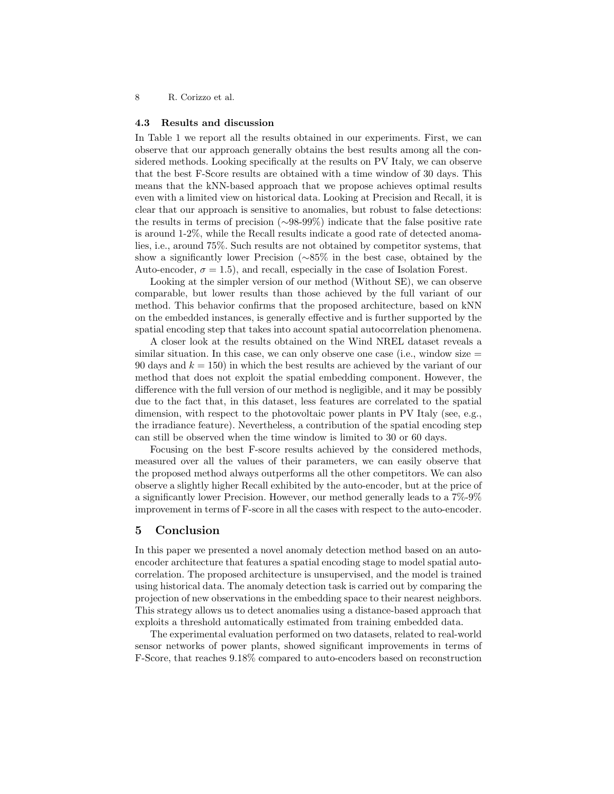## 4.3 Results and discussion

In Table 1 we report all the results obtained in our experiments. First, we can observe that our approach generally obtains the best results among all the considered methods. Looking specifically at the results on PV Italy, we can observe that the best F-Score results are obtained with a time window of 30 days. This means that the kNN-based approach that we propose achieves optimal results even with a limited view on historical data. Looking at Precision and Recall, it is clear that our approach is sensitive to anomalies, but robust to false detections: the results in terms of precision (∼98-99%) indicate that the false positive rate is around 1-2%, while the Recall results indicate a good rate of detected anomalies, i.e., around 75%. Such results are not obtained by competitor systems, that show a significantly lower Precision (∼85% in the best case, obtained by the Auto-encoder,  $\sigma = 1.5$ , and recall, especially in the case of Isolation Forest.

Looking at the simpler version of our method (Without SE), we can observe comparable, but lower results than those achieved by the full variant of our method. This behavior confirms that the proposed architecture, based on kNN on the embedded instances, is generally effective and is further supported by the spatial encoding step that takes into account spatial autocorrelation phenomena.

A closer look at the results obtained on the Wind NREL dataset reveals a similar situation. In this case, we can only observe one case (i.e., window size  $=$ 90 days and  $k = 150$  in which the best results are achieved by the variant of our method that does not exploit the spatial embedding component. However, the difference with the full version of our method is negligible, and it may be possibly due to the fact that, in this dataset, less features are correlated to the spatial dimension, with respect to the photovoltaic power plants in PV Italy (see, e.g., the irradiance feature). Nevertheless, a contribution of the spatial encoding step can still be observed when the time window is limited to 30 or 60 days.

Focusing on the best F-score results achieved by the considered methods, measured over all the values of their parameters, we can easily observe that the proposed method always outperforms all the other competitors. We can also observe a slightly higher Recall exhibited by the auto-encoder, but at the price of a significantly lower Precision. However, our method generally leads to a 7%-9% improvement in terms of F-score in all the cases with respect to the auto-encoder.

# 5 Conclusion

In this paper we presented a novel anomaly detection method based on an autoencoder architecture that features a spatial encoding stage to model spatial autocorrelation. The proposed architecture is unsupervised, and the model is trained using historical data. The anomaly detection task is carried out by comparing the projection of new observations in the embedding space to their nearest neighbors. This strategy allows us to detect anomalies using a distance-based approach that exploits a threshold automatically estimated from training embedded data.

The experimental evaluation performed on two datasets, related to real-world sensor networks of power plants, showed significant improvements in terms of F-Score, that reaches 9.18% compared to auto-encoders based on reconstruction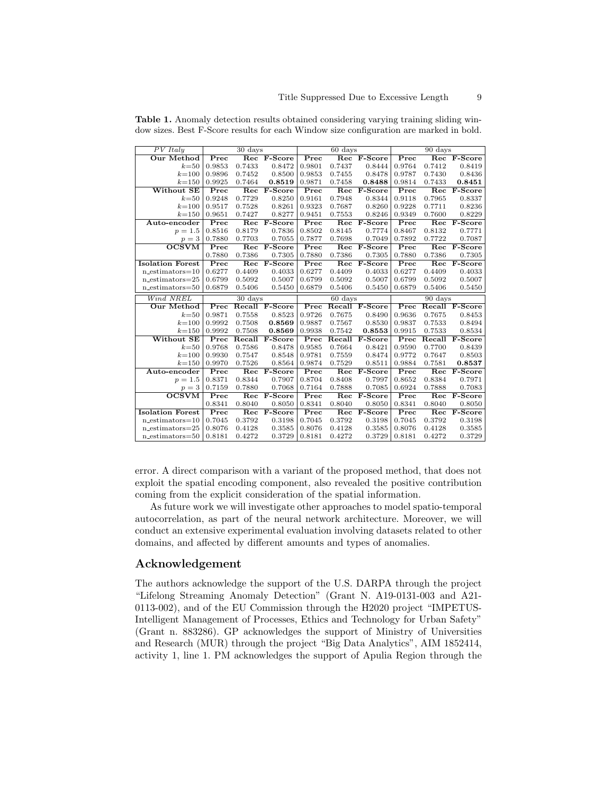| PV Italy                                   | 30 days          |                  |                  | 60 days                     |                  |                  | 90 days                     |                  |                  |
|--------------------------------------------|------------------|------------------|------------------|-----------------------------|------------------|------------------|-----------------------------|------------------|------------------|
| Our Method                                 | Prec             | Rec              | F-Score          | Prec                        | Rec              | F-Score          | Prec                        | Rec              | F-Score          |
| $k=50$                                     | 0.9853           | 0.7433           | 0.8472           | 0.9801                      | 0.7437           | 0.8444           | 0.9764                      | 0.7412           | 0.8419           |
| $k = 100$                                  | 0.9896           | 0.7452           | 0.8500           | 0.9853                      | 0.7455           | 0.8478           | 0.9787                      | 0.7430           | 0.8436           |
| $k = 150$                                  | 0.9925           | 0.7464           | 0.8519           | 0.9871                      | 0.7458           | 0.8488           | 0.9814                      | 0.7433           | 0.8451           |
| Without SE                                 | Prec             | Rec              | F-Score          | Prec                        | Rec              | F-Score          | Prec                        | Rec              | F-Score          |
| $k=50$                                     | 0.9248           | 0.7729           | 0.8250           | 0.9161                      | 0.7948           | 0.8344           | 0.9118                      | 0.7965           | 0.8337           |
| $k = 100$                                  | 0.9517           | 0.7528           | 0.8261           | 0.9323                      | 0.7687           | 0.8260           | 0.9228                      | 0.7711           | 0.8236           |
| $k = 150$                                  | 0.9651           | 0.7427           | 0.8277           | 0.9451                      | 0.7553           | 0.8246           | 0.9349                      | 0.7600           | 0.8229           |
| Auto-encoder                               | Prec             | Rec              | F-Score          | Prec                        | Rec              | F-Score          | $\overline{\mathbf{P}}$ rec | Rec              | F-Score          |
| $p = 1.5$                                  | 0.8516           | 0.8179           | 0.7836           | 0.8502                      | 0.8145           | 0.7774           | 0.8467                      | 0.8132           | 0.7771           |
| $p=3$                                      | 0.7880           | 0.7703           | 0.7055           | 0.7877                      | 0.7698           | 0.7049           | 0.7892                      | 0.7722           | 0.7087           |
| <b>OCSVM</b>                               | Prec             | Rec              | F-Score          | $\overline{\mathbf{P}}$ rec | Rec              | F-Score          | Prec                        | Rec              | F-Score          |
|                                            | 0.7880           | 0.7386           | 0.7305           | 0.7880                      | 0.7386           | 0.7305           | 0.7880                      | 0.7386           | 0.7305           |
| <b>Isolation Forest</b>                    | Prec             | Rec              | F-Score          | Prec                        | Rec              | F-Score          | Prec                        | Rec              | F-Score          |
| $n_{\text{-estimators}=10}$                | 0.6277           | 0.4409           | 0.4033           | 0.6277                      | 0.4409           | 0.4033           | 0.6277                      | 0.4409           | 0.4033           |
| $n_{estimators}=25$                        | 0.6799           | 0.5092           | 0.5007           | 0.6799                      | 0.5092           | 0.5007           | 0.6799                      | 0.5092           | 0.5007           |
| $n_{estimators}=50$                        | 0.6879           | 0.5406           | 0.5450           | 0.6879                      | 0.5406           | 0.5450           | 0.6879                      | 0.5406           | 0.5450           |
|                                            | 30 days          |                  |                  |                             |                  |                  |                             |                  |                  |
| Wind NREL                                  |                  |                  |                  |                             | 60 days          |                  |                             | 90 days          |                  |
| Our Method                                 | Prec             | Recall           | F-Score          | Prec                        | Recall           | F-Score          | Prec                        | Recall           | F-Score          |
| $k=50$                                     | 0.9871           | 0.7558           | 0.8523           | 0.9726                      | 0.7675           | 0.8490           | 0.9636                      | 0.7675           | 0.8453           |
| $k = 100$                                  | 0.9992           | 0.7508           | 0.8569           | 0.9887                      | 0.7567           | 0.8530           | 0.9837                      | 0.7533           | 0.8494           |
| $k = 150$                                  | 0.9992           | 0.7508           | 0.8569           | 0.9938                      | 0.7542           | 0.8553           | 0.9915                      | 0.7533           | 0.8534           |
| Without SE                                 | Prec             | Recall           | F-Score          | Prec                        | Recall           | F-Score          | Prec                        | Recall           | F-Score          |
| $k=50$                                     | 0.9768           | 0.7586           | 0.8478           | 0.9585                      | 0.7664           | 0.8421           | 0.9590                      | 0.7700           | 0.8439           |
| $k = 100$                                  | 0.9930           | 0.7547           | 0.8548           | 0.9781                      | 0.7559           | 0.8474           | 0.9772                      | 0.7647           | 0.8503           |
| $k = 150$                                  | 0.9970           | 0.7526           | 0.8564           | 0.9874                      | 0.7529           | 0.8511           | 0.9884                      | 0.7581           | 0.8537           |
| Auto-encoder                               | Prec             | Rec              | F-Score          | Prec                        | Rec              | F-Score          | Prec                        | Rec              | F-Score          |
| $p = 1.5$                                  | 0.8371           | 0.8344           | 0.7907           | 0.8704                      | 0.8408           | 0.7997           | 0.8652                      | 0.8384           | 0.7971           |
| $p=3$                                      | 0.7159           | 0.7880           | 0.7068           | 0.7164                      | 0.7888           | 0.7085           | 0.6924                      | 0.7888           | 0.7083           |
| <b>OCSVM</b>                               | Prec             | Rec              | F-Score          | Prec                        | Rec              | F-Score          | Prec                        | Rec              | F-Score          |
|                                            | 0.8341           | 0.8040           | 0.8050           | 0.8341                      | 0.8040           | 0.8050           | 0.8341                      | 0.8040           | 0.8050           |
| <b>Isolation Forest</b>                    | Prec             | Rec              | F-Score          | Prec                        | Rec              | F-Score          | Prec                        | Rec              | F-Score          |
| $n_{estimators}=10$                        | 0.7045           | 0.3792           | 0.3198           | 0.7045                      | 0.3792           | 0.3198           | 0.7045                      | 0.3792           | 0.3198           |
| $n_{estimators}=25$<br>$n_{estimators}=50$ | 0.8076<br>0.8181 | 0.4128<br>0.4272 | 0.3585<br>0.3729 | 0.8076<br>0.8181            | 0.4128<br>0.4272 | 0.3585<br>0.3729 | 0.8076<br>0.8181            | 0.4128<br>0.4272 | 0.3585<br>0.3729 |

Table 1. Anomaly detection results obtained considering varying training sliding window sizes. Best F-Score results for each Window size configuration are marked in bold.

error. A direct comparison with a variant of the proposed method, that does not exploit the spatial encoding component, also revealed the positive contribution coming from the explicit consideration of the spatial information.

As future work we will investigate other approaches to model spatio-temporal autocorrelation, as part of the neural network architecture. Moreover, we will conduct an extensive experimental evaluation involving datasets related to other domains, and affected by different amounts and types of anomalies.

## Acknowledgement

The authors acknowledge the support of the U.S. DARPA through the project "Lifelong Streaming Anomaly Detection" (Grant N. A19-0131-003 and A21- 0113-002), and of the EU Commission through the H2020 project "IMPETUS-Intelligent Management of Processes, Ethics and Technology for Urban Safety" (Grant n. 883286). GP acknowledges the support of Ministry of Universities and Research (MUR) through the project "Big Data Analytics", AIM 1852414, activity 1, line 1. PM acknowledges the support of Apulia Region through the